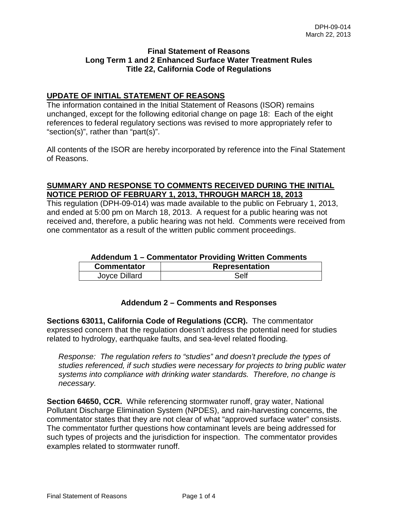### **Final Statement of Reasons Long Term 1 and 2 Enhanced Surface Water Treatment Rules Title 22, California Code of Regulations**

# **UPDATE OF INITIAL STATEMENT OF REASONS**

The information contained in the Initial Statement of Reasons (ISOR) remains unchanged, except for the following editorial change on page 18: Each of the eight references to federal regulatory sections was revised to more appropriately refer to "section(s)", rather than "part(s)".

All contents of the ISOR are hereby incorporated by reference into the Final Statement of Reasons.

# **SUMMARY AND RESPONSE TO COMMENTS RECEIVED DURING THE INITIAL NOTICE PERIOD OF FEBRUARY 1, 2013, THROUGH MARCH 18, 2013**

This regulation (DPH-09-014) was made available to the public on February 1, 2013, and ended at 5:00 pm on March 18, 2013. A request for a public hearing was not received and, therefore, a public hearing was not held. Comments were received from one commentator as a result of the written public comment proceedings.

# **Addendum 1 – Commentator Providing Written Comments**

| <b>Commentator</b> | <b>Representation</b> |
|--------------------|-----------------------|
| Joyce Dillard      | Self                  |

# **Addendum 2 – Comments and Responses**

**Sections 63011, California Code of Regulations (CCR).** The commentator expressed concern that the regulation doesn't address the potential need for studies related to hydrology, earthquake faults, and sea-level related flooding.

*Response: The regulation refers to "studies" and doesn't preclude the types of studies referenced, if such studies were necessary for projects to bring public water systems into compliance with drinking water standards. Therefore, no change is necessary.* 

**Section 64650, CCR.** While referencing stormwater runoff, gray water, National Pollutant Discharge Elimination System (NPDES), and rain-harvesting concerns, the commentator states that they are not clear of what "approved surface water" consists. The commentator further questions how contaminant levels are being addressed for such types of projects and the jurisdiction for inspection. The commentator provides examples related to stormwater runoff.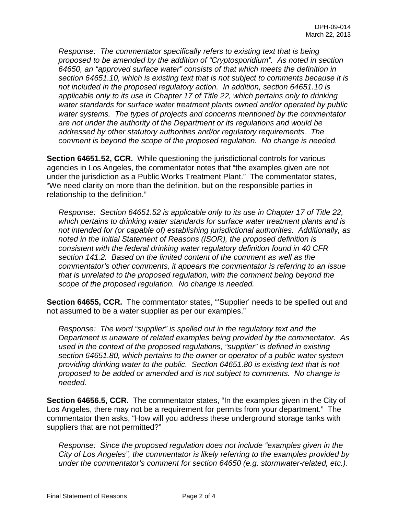*Response: The commentator specifically refers to existing text that is being proposed to be amended by the addition of "Cryptosporidium". As noted in section 64650, an "approved surface water" consists of that which meets the definition in section 64651.10, which is existing text that is not subject to comments because it is not included in the proposed regulatory action. In addition, section 64651.10 is applicable only to its use in Chapter 17 of Title 22, which pertains only to drinking water standards for surface water treatment plants owned and/or operated by public water systems. The types of projects and concerns mentioned by the commentator are not under the authority of the Department or its regulations and would be addressed by other statutory authorities and/or regulatory requirements. The comment is beyond the scope of the proposed regulation. No change is needed.*

**Section 64651.52, CCR.** While questioning the jurisdictional controls for various agencies in Los Angeles, the commentator notes that "the examples given are not under the jurisdiction as a Public Works Treatment Plant." The commentator states, "We need clarity on more than the definition, but on the responsible parties in relationship to the definition."

*Response: Section 64651.52 is applicable only to its use in Chapter 17 of Title 22, which pertains to drinking water standards for surface water treatment plants and is not intended for (or capable of) establishing jurisdictional authorities. Additionally, as noted in the Initial Statement of Reasons (ISOR), the proposed definition is consistent with the federal drinking water regulatory definition found in 40 CFR section 141.2. Based on the limited content of the comment as well as the commentator's other comments, it appears the commentator is referring to an issue that is unrelated to the proposed regulation, with the comment being beyond the scope of the proposed regulation. No change is needed.*

**Section 64655, CCR.** The commentator states, "'Supplier' needs to be spelled out and not assumed to be a water supplier as per our examples."

*Response: The word "supplier" is spelled out in the regulatory text and the Department is unaware of related examples being provided by the commentator. As used in the context of the proposed regulations, "supplier" is defined in existing section 64651.80, which pertains to the owner or operator of a public water system providing drinking water to the public. Section 64651.80 is existing text that is not proposed to be added or amended and is not subject to comments. No change is needed.*

**Section 64656.5, CCR.** The commentator states, "In the examples given in the City of Los Angeles, there may not be a requirement for permits from your department." The commentator then asks, "How will you address these underground storage tanks with suppliers that are not permitted?"

*Response: Since the proposed regulation does not include "examples given in the City of Los Angeles", the commentator is likely referring to the examples provided by under the commentator's comment for section 64650 (e.g. stormwater-related, etc.).*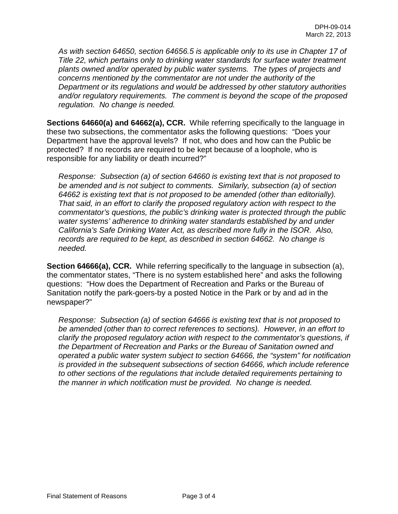*As with section 64650, section 64656.5 is applicable only to its use in Chapter 17 of Title 22, which pertains only to drinking water standards for surface water treatment plants owned and/or operated by public water systems. The types of projects and concerns mentioned by the commentator are not under the authority of the Department or its regulations and would be addressed by other statutory authorities and/or regulatory requirements. The comment is beyond the scope of the proposed regulation. No change is needed.*

**Sections 64660(a) and 64662(a), CCR.** While referring specifically to the language in these two subsections, the commentator asks the following questions: "Does your Department have the approval levels? If not, who does and how can the Public be protected? If no records are required to be kept because of a loophole, who is responsible for any liability or death incurred?"

*Response: Subsection (a) of section 64660 is existing text that is not proposed to be amended and is not subject to comments. Similarly, subsection (a) of section 64662 is existing text that is not proposed to be amended (other than editorially). That said, in an effort to clarify the proposed regulatory action with respect to the commentator's questions, the public's drinking water is protected through the public water systems' adherence to drinking water standards established by and under California's Safe Drinking Water Act, as described more fully in the ISOR. Also, records are required to be kept, as described in section 64662. No change is needed.*

**Section 64666(a), CCR.** While referring specifically to the language in subsection (a), the commentator states, "There is no system established here" and asks the following questions: "How does the Department of Recreation and Parks or the Bureau of Sanitation notify the park-goers-by a posted Notice in the Park or by and ad in the newspaper?"

*Response: Subsection (a) of section 64666 is existing text that is not proposed to be amended (other than to correct references to sections). However, in an effort to clarify the proposed regulatory action with respect to the commentator's questions, if the Department of Recreation and Parks or the Bureau of Sanitation owned and operated a public water system subject to section 64666, the "system" for notification is provided in the subsequent subsections of section 64666, which include reference to other sections of the regulations that include detailed requirements pertaining to the manner in which notification must be provided. No change is needed.*